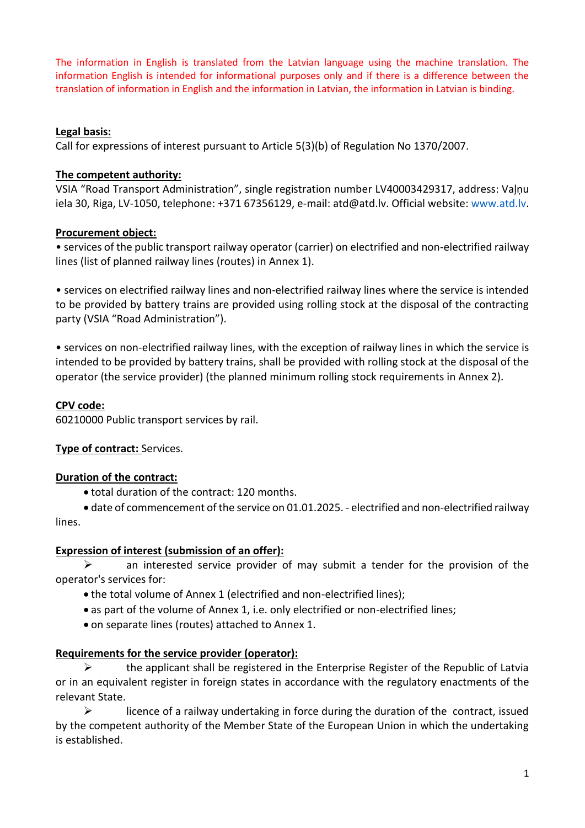The information in English is translated from the Latvian language using the machine translation. The information English is intended for informational purposes only and if there is a difference between the translation of information in English and the information in Latvian, the information in Latvian is binding.

## **Legal basis:**

Call for expressions of interest pursuant to Article 5(3)(b) of Regulation No 1370/2007.

#### **The competent authority:**

VSIA "Road Transport Administration", single registration number LV40003429317, address: Vaļņu iela 30, Riga, LV-1050, telephone: +371 67356129, e-mail: atd@atd.lv. Official website: [www.atd.lv.](http://www.atd.lv/)

## **Procurement object:**

• services of the public transport railway operator (carrier) on electrified and non-electrified railway lines (list of planned railway lines (routes) in Annex 1).

• services on electrified railway lines and non-electrified railway lines where the service is intended to be provided by battery trains are provided using rolling stock at the disposal of the contracting party (VSIA "Road Administration").

• services on non-electrified railway lines, with the exception of railway lines in which the service is intended to be provided by battery trains, shall be provided with rolling stock at the disposal of the operator (the service provider) (the planned minimum rolling stock requirements in Annex 2).

## **CPV code:**

60210000 Public transport services by rail.

# **Type of contract:** Services.

#### **Duration of the contract:**

• total duration of the contract: 120 months.

• date of commencement of the service on 01.01.2025. - electrified and non-electrified railway lines.

#### **Expression of interest (submission of an offer):**

 $\triangleright$  an interested service provider of may submit a tender for the provision of the operator's services for:

- the total volume of Annex 1 (electrified and non-electrified lines);
- as part of the volume of Annex 1, i.e. only electrified or non-electrified lines;
- on separate lines (routes) attached to Annex 1.

# **Requirements for the service provider (operator):**

 $\triangleright$  the applicant shall be registered in the Enterprise Register of the Republic of Latvia or in an equivalent register in foreign states in accordance with the regulatory enactments of the relevant State.

 $\triangleright$  licence of a railway undertaking in force during the duration of the contract, issued by the competent authority of the Member State of the European Union in which the undertaking is established.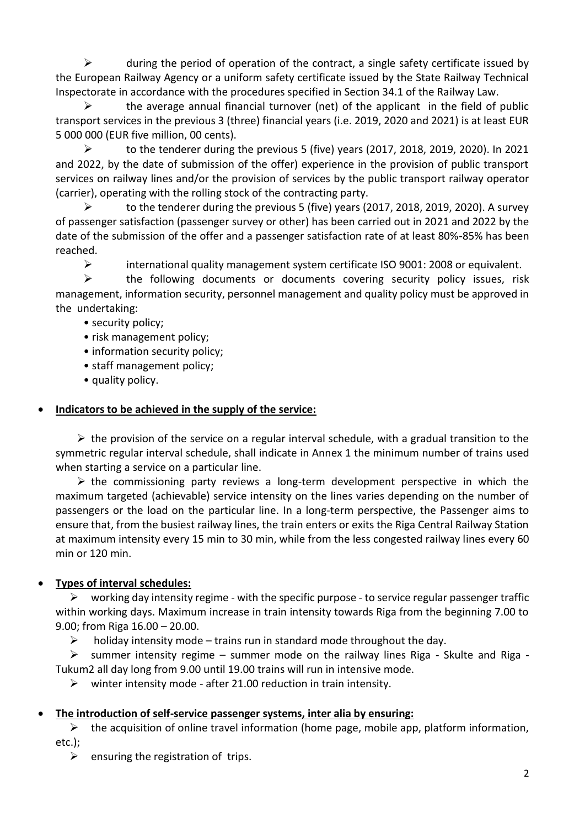$\triangleright$  during the period of operation of the contract, a single safety certificate issued by the European Railway Agency or a uniform safety certificate issued by the State Railway Technical Inspectorate in accordance with the procedures specified in Section 34.1 of the Railway Law.

 $\triangleright$  the average annual financial turnover (net) of the applicant in the field of public transport services in the previous 3 (three) financial years (i.e. 2019, 2020 and 2021) is at least EUR 5 000 000 (EUR five million, 00 cents).

 $\triangleright$  to the tenderer during the previous 5 (five) years (2017, 2018, 2019, 2020). In 2021 and 2022, by the date of submission of the offer) experience in the provision of public transport services on railway lines and/or the provision of services by the public transport railway operator (carrier), operating with the rolling stock of the contracting party.

 $\triangleright$  to the tenderer during the previous 5 (five) years (2017, 2018, 2019, 2020). A survey of passenger satisfaction (passenger survey or other) has been carried out in 2021 and 2022 by the date of the submission of the offer and a passenger satisfaction rate of at least 80%-85% has been reached.

➢ international quality management system certificate ISO 9001: 2008 or equivalent.

➢ the following documents or documents covering security policy issues, risk management, information security, personnel management and quality policy must be approved in the undertaking:

- security policy;
- risk management policy;
- information security policy;
- staff management policy;
- quality policy.

## • **Indicators to be achieved in the supply of the service:**

 $\triangleright$  the provision of the service on a regular interval schedule, with a gradual transition to the symmetric regular interval schedule, shall indicate in Annex 1 the minimum number of trains used when starting a service on a particular line.

 $\triangleright$  the commissioning party reviews a long-term development perspective in which the maximum targeted (achievable) service intensity on the lines varies depending on the number of passengers or the load on the particular line. In a long-term perspective, the Passenger aims to ensure that, from the busiest railway lines, the train enters or exits the Riga Central Railway Station at maximum intensity every 15 min to 30 min, while from the less congested railway lines every 60 min or 120 min.

# • **Types of interval schedules:**

 $\triangleright$  working day intensity regime - with the specific purpose - to service regular passenger traffic within working days. Maximum increase in train intensity towards Riga from the beginning 7.00 to 9.00; from Riga 16.00 – 20.00.

 $\triangleright$  holiday intensity mode – trains run in standard mode throughout the day.

 $\triangleright$  summer intensity regime – summer mode on the railway lines Riga - Skulte and Riga -Tukum2 all day long from 9.00 until 19.00 trains will run in intensive mode.

 $\triangleright$  winter intensity mode - after 21.00 reduction in train intensity.

# • **The introduction of self-service passenger systems, inter alia by ensuring:**

 $\triangleright$  the acquisition of online travel information (home page, mobile app, platform information, etc.);

 $\triangleright$  ensuring the registration of trips.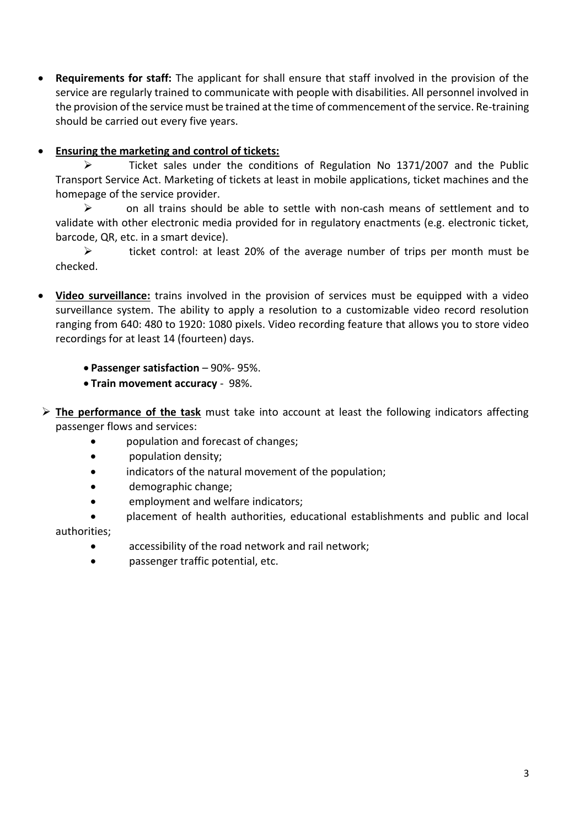• **Requirements for staff:** The applicant for shall ensure that staff involved in the provision of the service are regularly trained to communicate with people with disabilities. All personnel involved in the provision of the service must be trained at the time of commencement of the service. Re-training should be carried out every five years.

# • **Ensuring the marketing and control of tickets:**

➢ Ticket sales under the conditions of Regulation No 1371/2007 and the Public Transport Service Act. Marketing of tickets at least in mobile applications, ticket machines and the homepage of the service provider.

➢ on all trains should be able to settle with non-cash means of settlement and to validate with other electronic media provided for in regulatory enactments (e.g. electronic ticket, barcode, QR, etc. in a smart device).

➢ ticket control: at least 20% of the average number of trips per month must be checked.

- **Video surveillance:** trains involved in the provision of services must be equipped with a video surveillance system. The ability to apply a resolution to a customizable video record resolution ranging from 640: 480 to 1920: 1080 pixels. Video recording feature that allows you to store video recordings for at least 14 (fourteen) days.
	- **Passenger satisfaction** 90%- 95%.
	- **Train movement accuracy**  98%.
- ➢ **The performance of the task** must take into account at least the following indicators affecting passenger flows and services:
	- population and forecast of changes;
	- population density;
	- indicators of the natural movement of the population;
	- demographic change;
	- employment and welfare indicators;
	- placement of health authorities, educational establishments and public and local authorities;
		- accessibility of the road network and rail network;
		- passenger traffic potential, etc.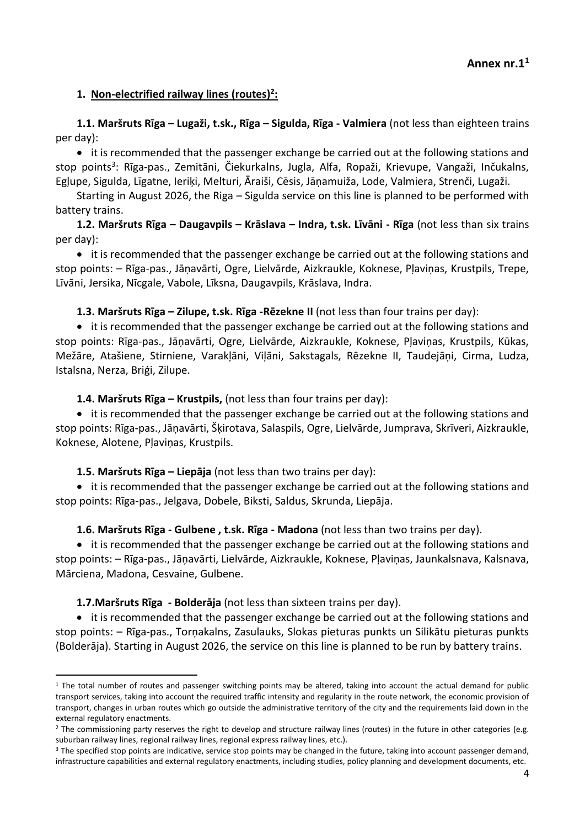## **1. Non-electrified railway lines (routes)<sup>2</sup> :**

**1.1. Maršruts Rīga – Lugaži, t.sk., Rīga – Sigulda, Rīga - Valmiera** (not less than eighteen trains per day):

• it is recommended that the passenger exchange be carried out at the following stations and stop points<sup>3</sup>: Rīga-pas., Zemitāni, Čiekurkalns, Jugla, Alfa, Ropaži, Krievupe, Vangaži, Inčukalns, Egļupe, Sigulda, Līgatne, Ieriķi, Melturi, Āraiši, Cēsis, Jāņamuiža, Lode, Valmiera, Strenči, Lugaži.

Starting in August 2026, the Riga – Sigulda service on this line is planned to be performed with battery trains.

**1.2. Maršruts Rīga – Daugavpils – Krāslava – Indra, t.sk. Līvāni - Rīga** (not less than six trains per day):

• it is recommended that the passenger exchange be carried out at the following stations and stop points: – Rīga-pas., Jāņavārti, Ogre, Lielvārde, Aizkraukle, Koknese, Pļaviņas, Krustpils, Trepe, Līvāni, Jersika, Nīcgale, Vabole, Līksna, Daugavpils, Krāslava, Indra.

**1.3. Maršruts Rīga – Zilupe, t.sk. Rīga -Rēzekne II** (not less than four trains per day):

• it is recommended that the passenger exchange be carried out at the following stations and stop points: Rīga-pas., Jāņavārti, Ogre, Lielvārde, Aizkraukle, Koknese, Pļaviņas, Krustpils, Kūkas, Mežāre, Atašiene, Stirniene, Varakļāni, Viļāni, Sakstagals, Rēzekne II, Taudejāņi, Cirma, Ludza, Istalsna, Nerza, Briģi, Zilupe.

**1.4. Maršruts Rīga – Krustpils,** (not less than four trains per day):

• it is recommended that the passenger exchange be carried out at the following stations and stop points: Rīga-pas., Jāņavārti, Šķirotava, Salaspils, Ogre, Lielvārde, Jumprava, Skrīveri, Aizkraukle, Koknese, Alotene, Pļaviņas, Krustpils.

**1.5. Maršruts Rīga – Liepāja** (not less than two trains per day):

• it is recommended that the passenger exchange be carried out at the following stations and stop points: Rīga-pas., Jelgava, Dobele, Biksti, Saldus, Skrunda, Liepāja.

**1.6. Maršruts Rīga - Gulbene , t.sk. Rīga - Madona** (not less than two trains per day).

• it is recommended that the passenger exchange be carried out at the following stations and stop points: – Rīga-pas., Jāņavārti, Lielvārde, Aizkraukle, Koknese, Pļaviņas, Jaunkalsnava, Kalsnava, Mārciena, Madona, Cesvaine, Gulbene.

**1.7.Maršruts Rīga - Bolderāja** (not less than sixteen trains per day).

• it is recommended that the passenger exchange be carried out at the following stations and stop points: – Rīga-pas., Torņakalns, Zasulauks, Slokas pieturas punkts un Silikātu pieturas punkts (Bolderāja). Starting in August 2026, the service on this line is planned to be run by battery trains.

 $1$  The total number of routes and passenger switching points may be altered, taking into account the actual demand for public transport services, taking into account the required traffic intensity and regularity in the route network, the economic provision of transport, changes in urban routes which go outside the administrative territory of the city and the requirements laid down in the external regulatory enactments.

<sup>&</sup>lt;sup>2</sup> The commissioning party reserves the right to develop and structure railway lines (routes) in the future in other categories (e.g. suburban railway lines, regional railway lines, regional express railway lines, etc.).

<sup>&</sup>lt;sup>3</sup> The specified stop points are indicative, service stop points may be changed in the future, taking into account passenger demand, infrastructure capabilities and external regulatory enactments, including studies, policy planning and development documents, etc.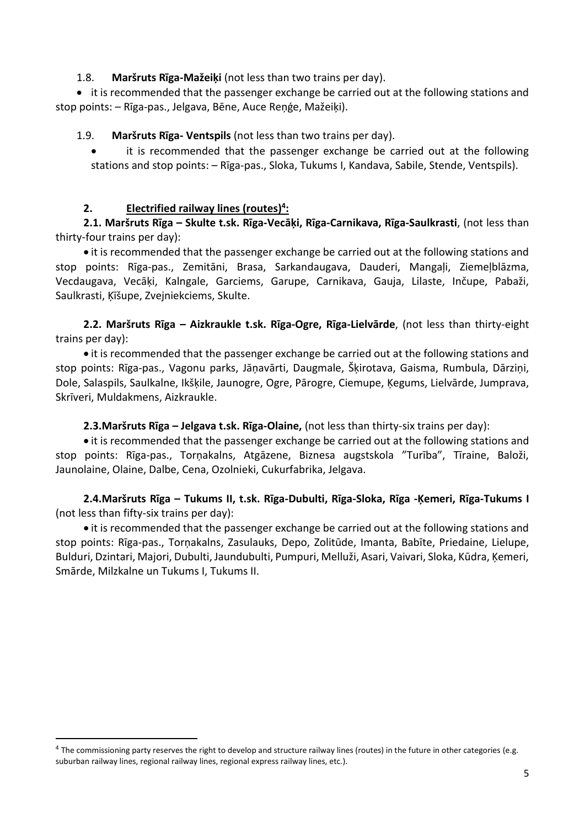#### 1.8. **Maršruts Rīga-Mažeiķi** (not less than two trains per day).

• it is recommended that the passenger exchange be carried out at the following stations and stop points: – Rīga-pas., Jelgava, Bēne, Auce Reņģe, Mažeiķi).

1.9. **Maršruts Rīga- Ventspils** (not less than two trains per day).

• it is recommended that the passenger exchange be carried out at the following stations and stop points: – Rīga-pas., Sloka, Tukums I, Kandava, Sabile, Stende, Ventspils).

#### **2. Electrified railway lines (routes) 4 :**

**2.1. Maršruts Rīga – Skulte t.sk. Rīga-Vecāķi, Rīga-Carnikava, Rīga-Saulkrasti**, (not less than thirty-four trains per day):

• it is recommended that the passenger exchange be carried out at the following stations and stop points: Rīga-pas., Zemitāni, Brasa, Sarkandaugava, Dauderi, Mangaļi, Ziemeļblāzma, Vecdaugava, Vecāķi, Kalngale, Garciems, Garupe, Carnikava, Gauja, Lilaste, Inčupe, Pabaži, Saulkrasti, Ķīšupe, Zvejniekciems, Skulte.

**2.2. Maršruts Rīga – Aizkraukle t.sk. Rīga-Ogre, Rīga-Lielvārde**, (not less than thirty-eight trains per day):

• it is recommended that the passenger exchange be carried out at the following stations and stop points: Rīga-pas., Vagonu parks, Jāņavārti, Daugmale, Šķirotava, Gaisma, Rumbula, Dārziņi, Dole, Salaspils, Saulkalne, Ikšķile, Jaunogre, Ogre, Pārogre, Ciemupe, Ķegums, Lielvārde, Jumprava, Skrīveri, Muldakmens, Aizkraukle.

#### **2.3.Maršruts Rīga – Jelgava t.sk. Rīga-Olaine,** (not less than thirty-six trains per day):

• it is recommended that the passenger exchange be carried out at the following stations and stop points: Rīga-pas., Torņakalns, Atgāzene, Biznesa augstskola "Turība", Tīraine, Baloži, Jaunolaine, Olaine, Dalbe, Cena, Ozolnieki, Cukurfabrika, Jelgava.

**2.4.Maršruts Rīga – Tukums II, t.sk. Rīga-Dubulti, Rīga-Sloka, Rīga -Ķemeri, Rīga-Tukums I** (not less than fifty-six trains per day):

• it is recommended that the passenger exchange be carried out at the following stations and stop points: Rīga-pas., Torņakalns, Zasulauks, Depo, Zolitūde, Imanta, Babīte, Priedaine, Lielupe, Bulduri, Dzintari, Majori, Dubulti, Jaundubulti, Pumpuri, Melluži, Asari, Vaivari, Sloka, Kūdra, Ķemeri, Smārde, Milzkalne un Tukums I, Tukums II.

<sup>&</sup>lt;sup>4</sup> The commissioning party reserves the right to develop and structure railway lines (routes) in the future in other categories (e.g. suburban railway lines, regional railway lines, regional express railway lines, etc.).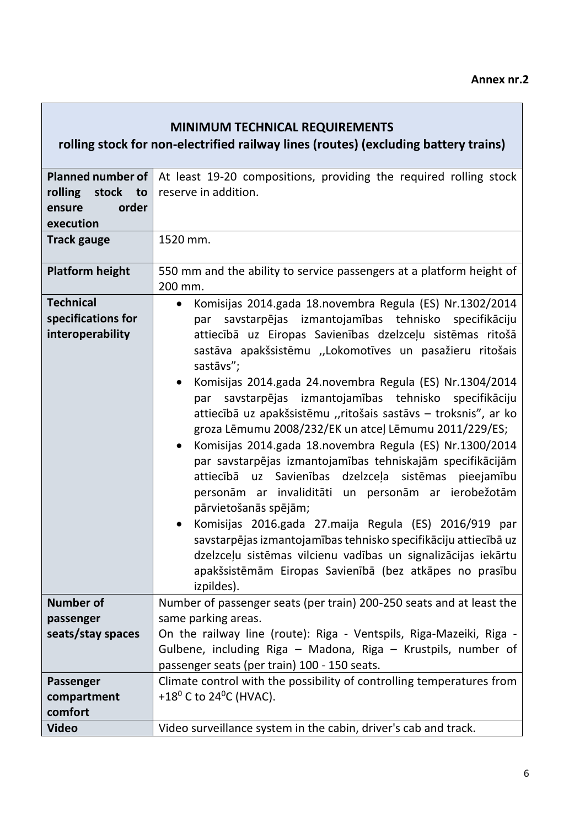# **MINIMUM TECHNICAL REQUIREMENTS**

**rolling stock for non-electrified railway lines (routes) (excluding battery trains)**

| <b>Planned number of</b> | At least 19-20 compositions, providing the required rolling stock     |
|--------------------------|-----------------------------------------------------------------------|
| rolling<br>stock<br>to   | reserve in addition.                                                  |
| order<br>ensure          |                                                                       |
| execution                |                                                                       |
| <b>Track gauge</b>       | 1520 mm.                                                              |
|                          |                                                                       |
| <b>Platform height</b>   | 550 mm and the ability to service passengers at a platform height of  |
|                          | 200 mm.                                                               |
| <b>Technical</b>         | Komisijas 2014.gada 18.novembra Regula (ES) Nr.1302/2014<br>$\bullet$ |
| specifications for       | savstarpējas izmantojamības tehnisko specifikāciju<br>par             |
| interoperability         | attiecībā uz Eiropas Savienības dzelzceļu sistēmas ritošā             |
|                          | sastāva apakšsistēmu "Lokomotīves un pasažieru ritošais               |
|                          | sastāvs";                                                             |
|                          | Komisijas 2014.gada 24.novembra Regula (ES) Nr.1304/2014<br>$\bullet$ |
|                          | savstarpējas izmantojamības tehnisko specifikāciju<br>par             |
|                          | attiecībā uz apakšsistēmu "ritošais sastāvs - troksnis", ar ko        |
|                          | groza Lēmumu 2008/232/EK un atceļ Lēmumu 2011/229/ES;                 |
|                          | Komisijas 2014.gada 18.novembra Regula (ES) Nr.1300/2014              |
|                          | par savstarpējas izmantojamības tehniskajām specifikācijām            |
|                          | attiecībā<br>uz Savienības dzelzceļa sistēmas<br>pieejamību           |
|                          | personām ar invaliditāti un personām ar ierobežotām                   |
|                          | pārvietošanās spējām;                                                 |
|                          | Komisijas 2016.gada 27.maija Regula (ES) 2016/919 par                 |
|                          | $\bullet$                                                             |
|                          | savstarpējas izmantojamības tehnisko specifikāciju attiecībā uz       |
|                          | dzelzceļu sistēmas vilcienu vadības un signalizācijas iekārtu         |
|                          | apakšsistēmām Eiropas Savienībā (bez atkāpes no prasību               |
|                          | izpildes).                                                            |
| <b>Number of</b>         | Number of passenger seats (per train) 200-250 seats and at least the  |
| passenger                | same parking areas.                                                   |
| seats/stay spaces        | On the railway line (route): Riga - Ventspils, Riga-Mazeiki, Riga -   |
|                          | Gulbene, including Riga - Madona, Riga - Krustpils, number of         |
|                          | passenger seats (per train) 100 - 150 seats.                          |
| Passenger                | Climate control with the possibility of controlling temperatures from |
| compartment              | +18 $^0$ C to 24 $^0$ C (HVAC).                                       |
| comfort                  |                                                                       |
| <b>Video</b>             | Video surveillance system in the cabin, driver's cab and track.       |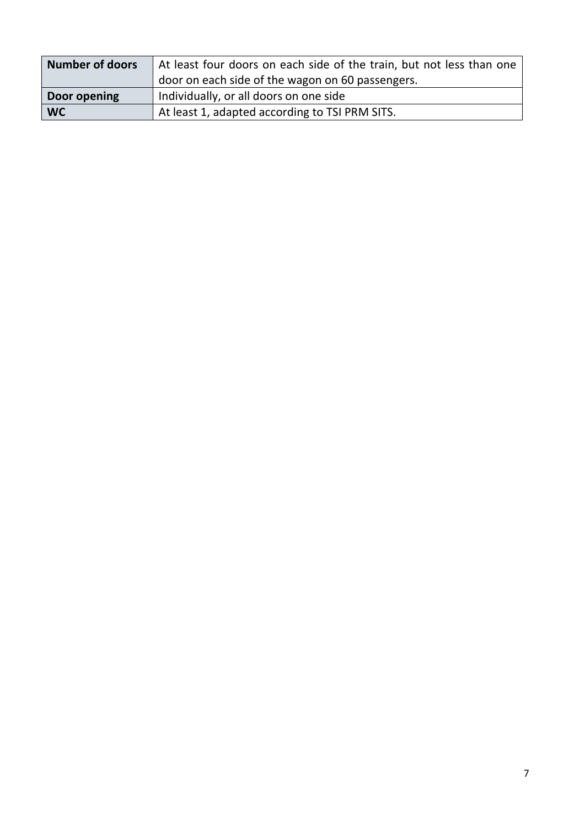| Number of doors | At least four doors on each side of the train, but not less than one |
|-----------------|----------------------------------------------------------------------|
|                 | door on each side of the wagon on 60 passengers.                     |
| Door opening    | Individually, or all doors on one side                               |
| <b>WC</b>       | At least 1, adapted according to TSI PRM SITS.                       |